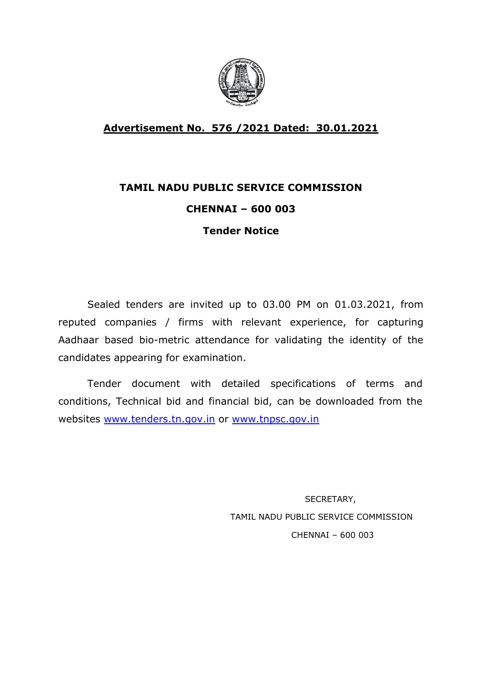

## **Advertisement No. 576 /2021 Dated: 30.01.2021**

# **TAMIL NADU PUBLIC SERVICE COMMISSION**

## **CHENNAI – 600 003**

## **Tender Notice**

Sealed tenders are invited up to 03.00 PM on 01.03.2021, from reputed companies / firms with relevant experience, for capturing Aadhaar based bio-metric attendance for validating the identity of the candidates appearing for examination.

Tender document with detailed specifications of terms and conditions, Technical bid and financial bid, can be downloaded from the websites www.tenders.tn.gov.in or www.tnpsc.gov.in

> SECRETARY, TAMIL NADU PUBLIC SERVICE COMMISSION CHENNAI – 600 003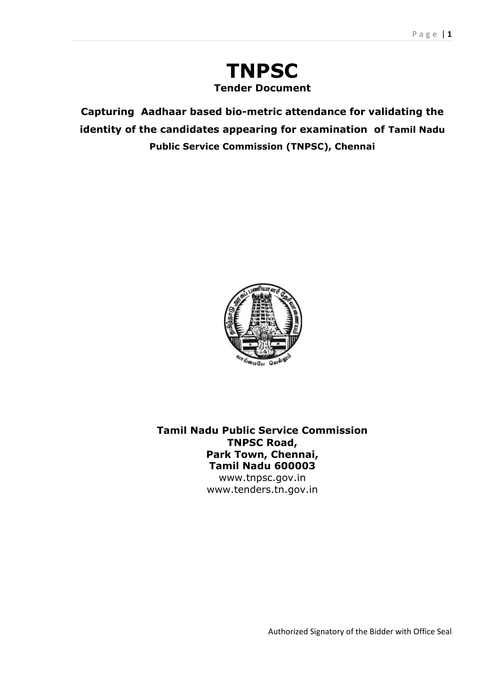## **TNPSC Tender Document**

**Capturing Aadhaar based bio-metric attendance for validating the identity of the candidates appearing for examination of Tamil Nadu Public Service Commission (TNPSC), Chennai**



**Tamil Nadu Public Service Commission TNPSC Road, Park Town, Chennai, Tamil Nadu 600003**

www.tnpsc.gov.in www.tenders.tn.gov.in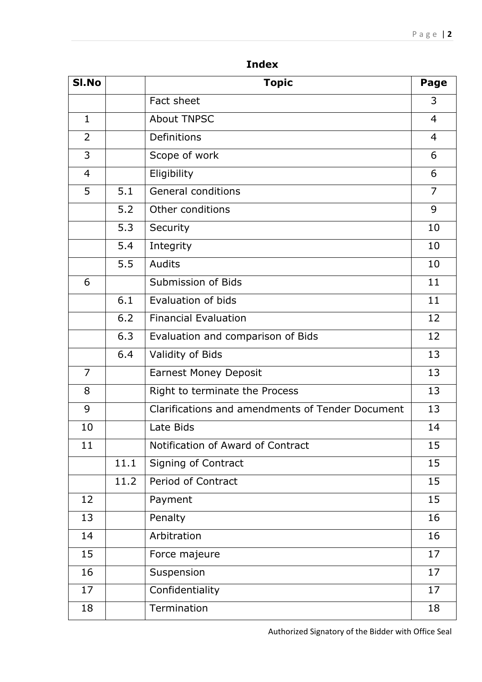| SI.No          |      | <b>Topic</b>                                     | Page           |
|----------------|------|--------------------------------------------------|----------------|
|                |      | Fact sheet                                       | 3              |
| $\mathbf{1}$   |      | <b>About TNPSC</b>                               | $\overline{4}$ |
| $\overline{2}$ |      | Definitions                                      | $\overline{4}$ |
| 3              |      | Scope of work                                    | 6              |
| $\overline{4}$ |      | Eligibility                                      | 6              |
| 5              | 5.1  | <b>General conditions</b>                        | $\overline{7}$ |
|                | 5.2  | Other conditions                                 | 9              |
|                | 5.3  | Security                                         | 10             |
|                | 5.4  | Integrity                                        | 10             |
|                | 5.5  | <b>Audits</b>                                    | 10             |
| 6              |      | Submission of Bids                               | 11             |
|                | 6.1  | Evaluation of bids                               | 11             |
|                | 6.2  | <b>Financial Evaluation</b>                      | 12             |
|                | 6.3  | Evaluation and comparison of Bids                | 12             |
|                | 6.4  | Validity of Bids                                 | 13             |
| $\overline{7}$ |      | <b>Earnest Money Deposit</b>                     | 13             |
| 8              |      | Right to terminate the Process                   | 13             |
| 9              |      | Clarifications and amendments of Tender Document | 13             |
| 10             |      | Late Bids                                        | 14             |
| 11             |      | Notification of Award of Contract                | 15             |
|                | 11.1 | Signing of Contract                              | 15             |
|                | 11.2 | Period of Contract                               | 15             |
| 12             |      | Payment                                          | 15             |
| 13             |      | Penalty                                          | 16             |
| 14             |      | Arbitration                                      | 16             |
| 15             |      | Force majeure                                    | 17             |
| 16             |      | Suspension                                       | 17             |
| 17             |      | Confidentiality                                  | 17             |
| 18             |      | Termination                                      | 18             |

**Index**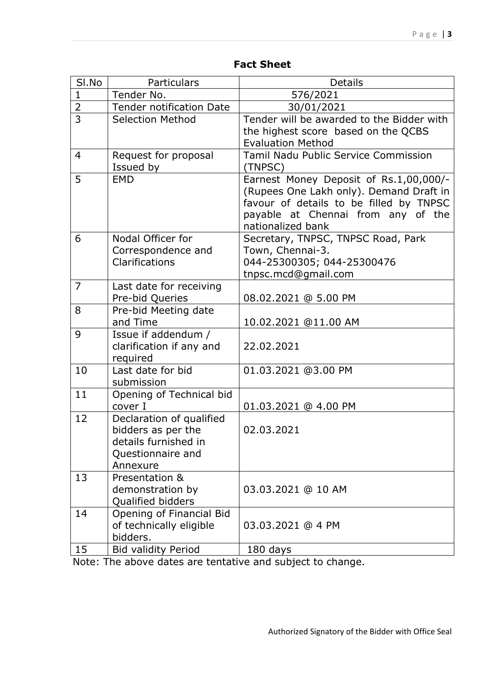| SI.No          | Particulars                                                                                             | <b>Details</b>                                                                                                                                                                          |
|----------------|---------------------------------------------------------------------------------------------------------|-----------------------------------------------------------------------------------------------------------------------------------------------------------------------------------------|
| $\mathbf{1}$   | Tender No.                                                                                              | 576/2021                                                                                                                                                                                |
| $\frac{2}{3}$  | <b>Tender notification Date</b>                                                                         | 30/01/2021                                                                                                                                                                              |
|                | <b>Selection Method</b>                                                                                 | Tender will be awarded to the Bidder with<br>the highest score based on the QCBS<br><b>Evaluation Method</b>                                                                            |
| $\overline{4}$ | Request for proposal<br>Issued by                                                                       | Tamil Nadu Public Service Commission<br>(TNPSC)                                                                                                                                         |
| 5              | <b>EMD</b>                                                                                              | Earnest Money Deposit of Rs.1,00,000/-<br>(Rupees One Lakh only). Demand Draft in<br>favour of details to be filled by TNPSC<br>payable at Chennai from any of the<br>nationalized bank |
| 6              | Nodal Officer for<br>Correspondence and<br>Clarifications                                               | Secretary, TNPSC, TNPSC Road, Park<br>Town, Chennai-3.<br>044-25300305; 044-25300476<br>tnpsc.mcd@gmail.com                                                                             |
| $\overline{7}$ | Last date for receiving<br>Pre-bid Queries                                                              | 08.02.2021 @ 5.00 PM                                                                                                                                                                    |
| 8              | Pre-bid Meeting date<br>and Time                                                                        | 10.02.2021 @11.00 AM                                                                                                                                                                    |
| 9              | Issue if addendum /<br>clarification if any and<br>required                                             | 22.02.2021                                                                                                                                                                              |
| 10             | Last date for bid<br>submission                                                                         | 01.03.2021 @3.00 PM                                                                                                                                                                     |
| 11             | Opening of Technical bid<br>cover I                                                                     | 01.03.2021 @ 4.00 PM                                                                                                                                                                    |
| 12             | Declaration of qualified<br>bidders as per the<br>details furnished in<br>Questionnaire and<br>Annexure | 02.03.2021                                                                                                                                                                              |
| 13             | Presentation &<br>demonstration by<br>Qualified bidders                                                 | 03.03.2021 @ 10 AM                                                                                                                                                                      |
| 14             | Opening of Financial Bid<br>of technically eligible<br>bidders.                                         | 03.03.2021 @ 4 PM                                                                                                                                                                       |
| 15             | <b>Bid validity Period</b>                                                                              | 180 days                                                                                                                                                                                |

Note: The above dates are tentative and subject to change.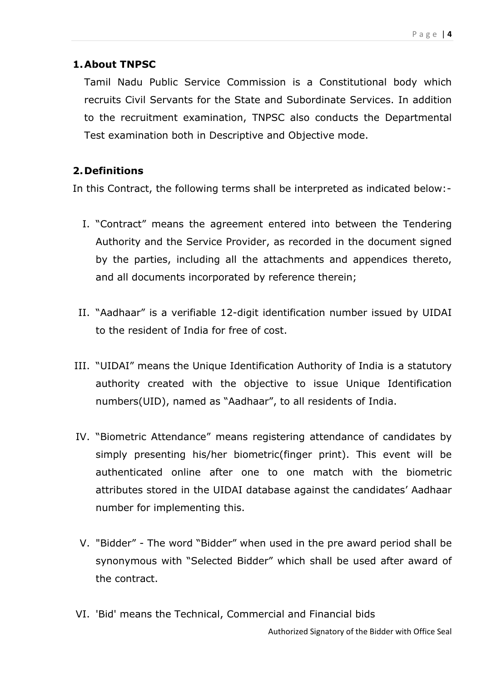### **1.About TNPSC**

Tamil Nadu Public Service Commission is a Constitutional body which recruits Civil Servants for the State and Subordinate Services. In addition to the recruitment examination, TNPSC also conducts the Departmental Test examination both in Descriptive and Objective mode.

## **2.Definitions**

In this Contract, the following terms shall be interpreted as indicated below:-

- I. "Contract" means the agreement entered into between the Tendering Authority and the Service Provider, as recorded in the document signed by the parties, including all the attachments and appendices thereto, and all documents incorporated by reference therein;
- II. "Aadhaar" is a verifiable 12-digit identification number issued by UIDAI to the resident of India for free of cost.
- III. "UIDAI" means the Unique Identification Authority of India is a statutory authority created with the objective to issue Unique Identification numbers(UID), named as "Aadhaar", to all residents of India.
- IV. "Biometric Attendance" means registering attendance of candidates by simply presenting his/her biometric(finger print). This event will be authenticated online after one to one match with the biometric attributes stored in the UIDAI database against the candidates' Aadhaar number for implementing this.
- V. "Bidder" The word "Bidder" when used in the pre award period shall be synonymous with "Selected Bidder" which shall be used after award of the contract.
- VI. 'Bid' means the Technical, Commercial and Financial bids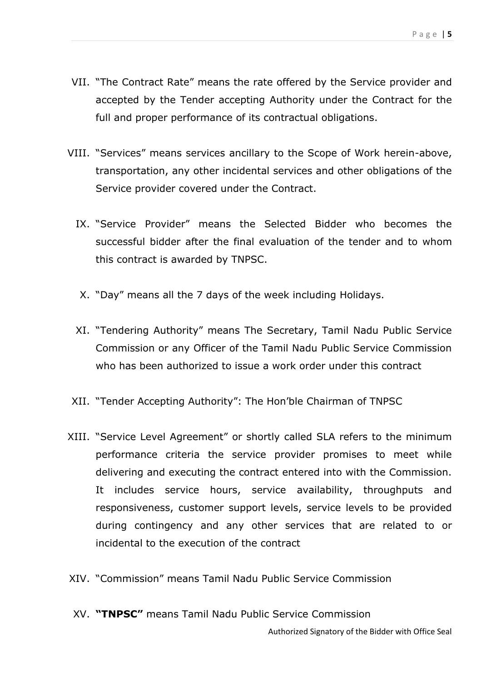- VII. "The Contract Rate" means the rate offered by the Service provider and accepted by the Tender accepting Authority under the Contract for the full and proper performance of its contractual obligations.
- VIII. "Services" means services ancillary to the Scope of Work herein-above, transportation, any other incidental services and other obligations of the Service provider covered under the Contract.
	- IX. "Service Provider" means the Selected Bidder who becomes the successful bidder after the final evaluation of the tender and to whom this contract is awarded by TNPSC.
	- X. "Day" means all the 7 days of the week including Holidays.
	- XI. "Tendering Authority" means The Secretary, Tamil Nadu Public Service Commission or any Officer of the Tamil Nadu Public Service Commission who has been authorized to issue a work order under this contract
- XII. "Tender Accepting Authority": The Hon'ble Chairman of TNPSC
- XIII. "Service Level Agreement" or shortly called SLA refers to the minimum performance criteria the service provider promises to meet while delivering and executing the contract entered into with the Commission. It includes service hours, service availability, throughputs and responsiveness, customer support levels, service levels to be provided during contingency and any other services that are related to or incidental to the execution of the contract
- XIV. "Commission" means Tamil Nadu Public Service Commission
- XV. **"TNPSC"** means Tamil Nadu Public Service Commission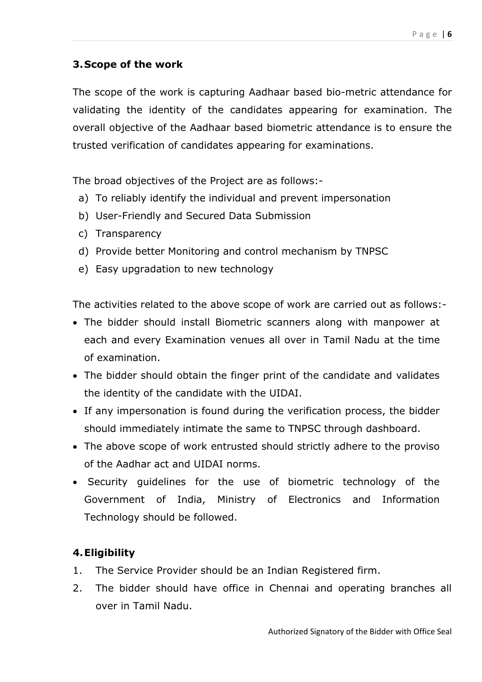## **3.Scope of the work**

The scope of the work is capturing Aadhaar based bio-metric attendance for validating the identity of the candidates appearing for examination. The overall objective of the Aadhaar based biometric attendance is to ensure the trusted verification of candidates appearing for examinations.

The broad objectives of the Project are as follows:-

- a) To reliably identify the individual and prevent impersonation
- b) User-Friendly and Secured Data Submission
- c) Transparency
- d) Provide better Monitoring and control mechanism by TNPSC
- e) Easy upgradation to new technology

The activities related to the above scope of work are carried out as follows:-

- The bidder should install Biometric scanners along with manpower at each and every Examination venues all over in Tamil Nadu at the time of examination.
- The bidder should obtain the finger print of the candidate and validates the identity of the candidate with the UIDAI.
- If any impersonation is found during the verification process, the bidder should immediately intimate the same to TNPSC through dashboard.
- The above scope of work entrusted should strictly adhere to the proviso of the Aadhar act and UIDAI norms.
- Security guidelines for the use of biometric technology of the Government of India, Ministry of Electronics and Information Technology should be followed.

## **4.Eligibility**

- 1. The Service Provider should be an Indian Registered firm.
- 2. The bidder should have office in Chennai and operating branches all over in Tamil Nadu.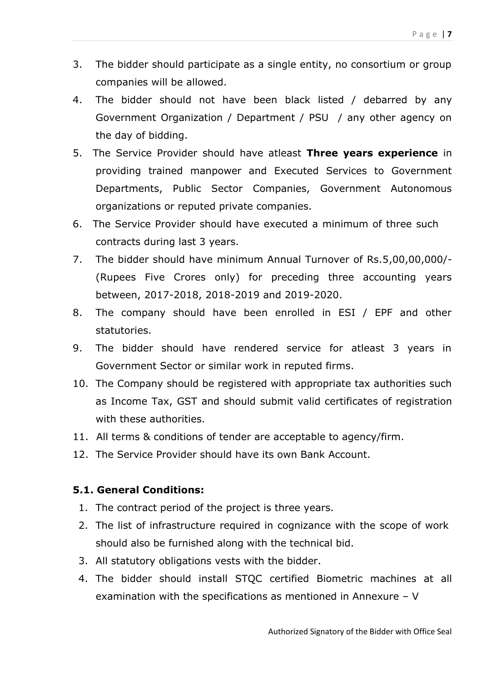- 3. The bidder should participate as a single entity, no consortium or group companies will be allowed.
- 4. The bidder should not have been black listed / debarred by any Government Organization / Department / PSU / any other agency on the day of bidding.
- 5. The Service Provider should have atleast **Three years experience** in providing trained manpower and Executed Services to Government Departments, Public Sector Companies, Government Autonomous organizations or reputed private companies.
- 6. The Service Provider should have executed a minimum of three such contracts during last 3 years.
- 7. The bidder should have minimum Annual Turnover of Rs.5,00,00,000/- (Rupees Five Crores only) for preceding three accounting years between, 2017-2018, 2018-2019 and 2019-2020.
- 8. The company should have been enrolled in ESI / EPF and other statutories.
- 9. The bidder should have rendered service for atleast 3 years in Government Sector or similar work in reputed firms.
- 10. The Company should be registered with appropriate tax authorities such as Income Tax, GST and should submit valid certificates of registration with these authorities.
- 11. All terms & conditions of tender are acceptable to agency/firm.
- 12. The Service Provider should have its own Bank Account.

## **5.1. General Conditions:**

- 1. The contract period of the project is three years.
- 2. The list of infrastructure required in cognizance with the scope of work should also be furnished along with the technical bid.
- 3. All statutory obligations vests with the bidder.
- 4. The bidder should install STQC certified Biometric machines at all examination with the specifications as mentioned in Annexure – V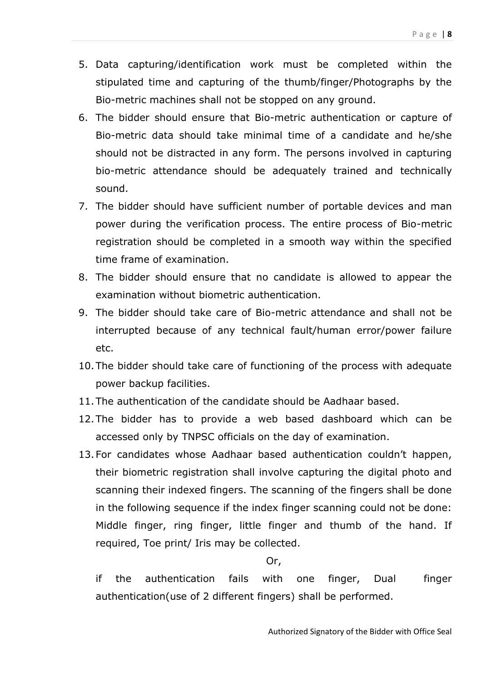- 5. Data capturing/identification work must be completed within the stipulated time and capturing of the thumb/finger/Photographs by the Bio-metric machines shall not be stopped on any ground.
- 6. The bidder should ensure that Bio-metric authentication or capture of Bio-metric data should take minimal time of a candidate and he/she should not be distracted in any form. The persons involved in capturing bio-metric attendance should be adequately trained and technically sound.
- 7. The bidder should have sufficient number of portable devices and man power during the verification process. The entire process of Bio-metric registration should be completed in a smooth way within the specified time frame of examination.
- 8. The bidder should ensure that no candidate is allowed to appear the examination without biometric authentication.
- 9. The bidder should take care of Bio-metric attendance and shall not be interrupted because of any technical fault/human error/power failure etc.
- 10.The bidder should take care of functioning of the process with adequate power backup facilities.
- 11.The authentication of the candidate should be Aadhaar based.
- 12.The bidder has to provide a web based dashboard which can be accessed only by TNPSC officials on the day of examination.
- 13.For candidates whose Aadhaar based authentication couldn't happen, their biometric registration shall involve capturing the digital photo and scanning their indexed fingers. The scanning of the fingers shall be done in the following sequence if the index finger scanning could not be done: Middle finger, ring finger, little finger and thumb of the hand. If required, Toe print/ Iris may be collected.

Or,

if the authentication fails with one finger, Dual finger authentication(use of 2 different fingers) shall be performed.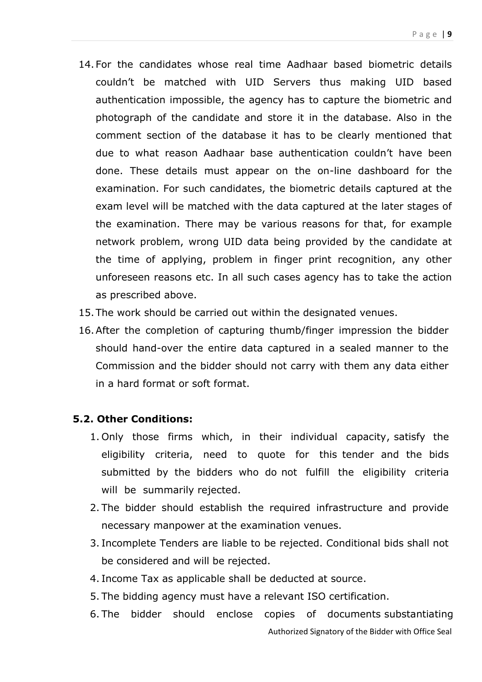- 14.For the candidates whose real time Aadhaar based biometric details couldn't be matched with UID Servers thus making UID based authentication impossible, the agency has to capture the biometric and photograph of the candidate and store it in the database. Also in the comment section of the database it has to be clearly mentioned that due to what reason Aadhaar base authentication couldn't have been done. These details must appear on the on-line dashboard for the examination. For such candidates, the biometric details captured at the exam level will be matched with the data captured at the later stages of the examination. There may be various reasons for that, for example network problem, wrong UID data being provided by the candidate at the time of applying, problem in finger print recognition, any other unforeseen reasons etc. In all such cases agency has to take the action as prescribed above.
- 15.The work should be carried out within the designated venues.
- 16.After the completion of capturing thumb/finger impression the bidder should hand-over the entire data captured in a sealed manner to the Commission and the bidder should not carry with them any data either in a hard format or soft format.

#### **5.2. Other Conditions:**

- 1. Only those firms which, in their individual capacity, satisfy the eligibility criteria, need to quote for this tender and the bids submitted by the bidders who do not fulfill the eligibility criteria will be summarily rejected.
- 2. The bidder should establish the required infrastructure and provide necessary manpower at the examination venues.
- 3. Incomplete Tenders are liable to be rejected. Conditional bids shall not be considered and will be rejected.
- 4. Income Tax as applicable shall be deducted at source.
- 5. The bidding agency must have a relevant ISO certification.
- 6. The bidder should enclose copies of documents substantiating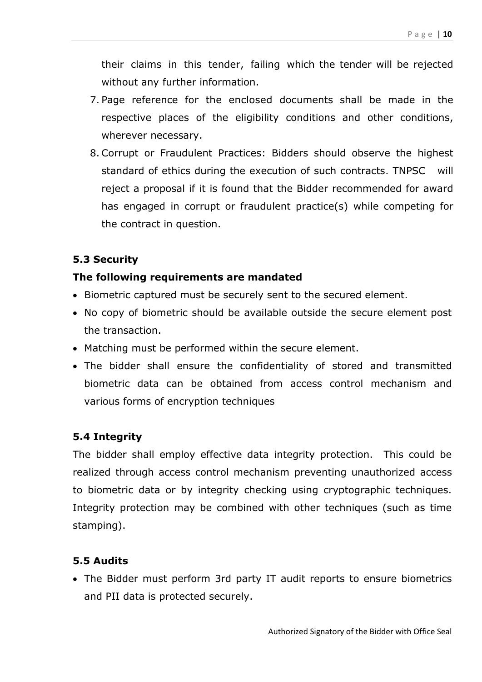their claims in this tender, failing which the tender will be rejected without any further information.

- 7. Page reference for the enclosed documents shall be made in the respective places of the eligibility conditions and other conditions, wherever necessary.
- 8. Corrupt or Fraudulent Practices: Bidders should observe the highest standard of ethics during the execution of such contracts. TNPSC will reject a proposal if it is found that the Bidder recommended for award has engaged in corrupt or fraudulent practice(s) while competing for the contract in question.

#### **5.3 Security**

#### **The following requirements are mandated**

- Biometric captured must be securely sent to the secured element.
- No copy of biometric should be available outside the secure element post the transaction.
- Matching must be performed within the secure element.
- The bidder shall ensure the confidentiality of stored and transmitted biometric data can be obtained from access control mechanism and various forms of encryption techniques

#### **5.4 Integrity**

The bidder shall employ effective data integrity protection. This could be realized through access control mechanism preventing unauthorized access to biometric data or by integrity checking using cryptographic techniques. Integrity protection may be combined with other techniques (such as time stamping).

#### **5.5 Audits**

 The Bidder must perform 3rd party IT audit reports to ensure biometrics and PII data is protected securely.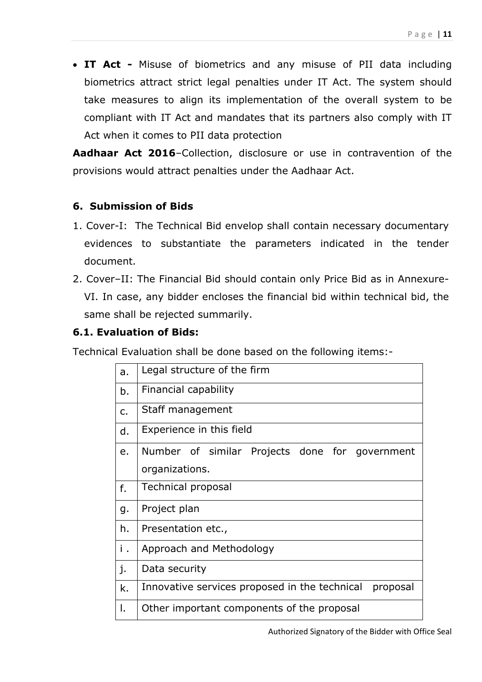**IT Act -** Misuse of biometrics and any misuse of PII data including biometrics attract strict legal penalties under IT Act. The system should take measures to align its implementation of the overall system to be compliant with IT Act and mandates that its partners also comply with IT Act when it comes to PII data protection

**Aadhaar Act 2016**–Collection, disclosure or use in contravention of the provisions would attract penalties under the Aadhaar Act.

### **6. Submission of Bids**

- 1. Cover-I: The Technical Bid envelop shall contain necessary documentary evidences to substantiate the parameters indicated in the tender document.
- 2. Cover–II: The Financial Bid should contain only Price Bid as in Annexure-VI. In case, any bidder encloses the financial bid within technical bid, the same shall be rejected summarily.

## **6.1. Evaluation of Bids:**

Technical Evaluation shall be done based on the following items:-

| a. | Legal structure of the firm                               |  |  |  |  |
|----|-----------------------------------------------------------|--|--|--|--|
| b. | Financial capability                                      |  |  |  |  |
| c. | Staff management                                          |  |  |  |  |
| d. | Experience in this field                                  |  |  |  |  |
| e. | Number of similar Projects done for government            |  |  |  |  |
|    | organizations.                                            |  |  |  |  |
| f. | Technical proposal                                        |  |  |  |  |
| g. | Project plan                                              |  |  |  |  |
| h. | Presentation etc.,                                        |  |  |  |  |
| i. | Approach and Methodology                                  |  |  |  |  |
| j. | Data security                                             |  |  |  |  |
| k. | Innovative services proposed in the technical<br>proposal |  |  |  |  |
| I. | Other important components of the proposal                |  |  |  |  |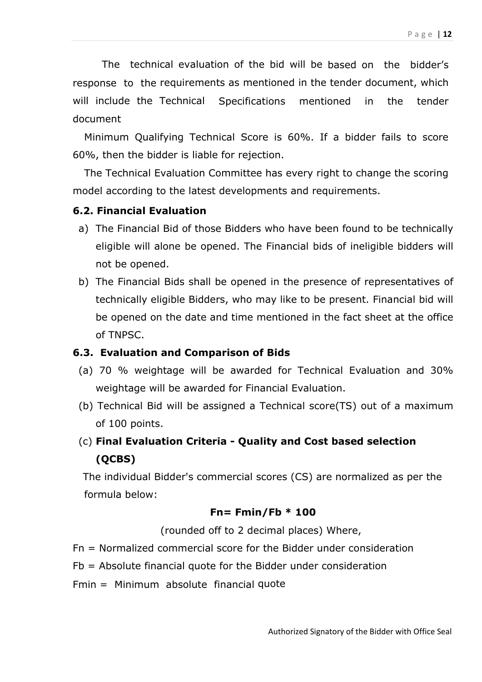The technical evaluation of the bid will be based on the bidder's response to the requirements as mentioned in the tender document, which will include the Technical Specifications mentioned in the tender document

Minimum Qualifying Technical Score is 60%. If a bidder fails to score 60%, then the bidder is liable for rejection.

The Technical Evaluation Committee has every right to change the scoring model according to the latest developments and requirements.

#### **6.2. Financial Evaluation**

- a) The Financial Bid of those Bidders who have been found to be technically eligible will alone be opened. The Financial bids of ineligible bidders will not be opened.
- b) The Financial Bids shall be opened in the presence of representatives of technically eligible Bidders, who may like to be present. Financial bid will be opened on the date and time mentioned in the fact sheet at the office of TNPSC.

#### **6.3. Evaluation and Comparison of Bids**

- (a) 70 % weightage will be awarded for Technical Evaluation and 30% weightage will be awarded for Financial Evaluation.
- (b) Technical Bid will be assigned a Technical score(TS) out of a maximum of 100 points.
- (c) **Final Evaluation Criteria - Quality and Cost based selection (QCBS)**

The individual Bidder's commercial scores (CS) are normalized as per the formula below:

#### **Fn= Fmin/Fb \* 100**

(rounded off to 2 decimal places) Where,

- Fn = Normalized commercial score for the Bidder under consideration
- Fb = Absolute financial quote for the Bidder under consideration
- Fmin = Minimum absolute financial quote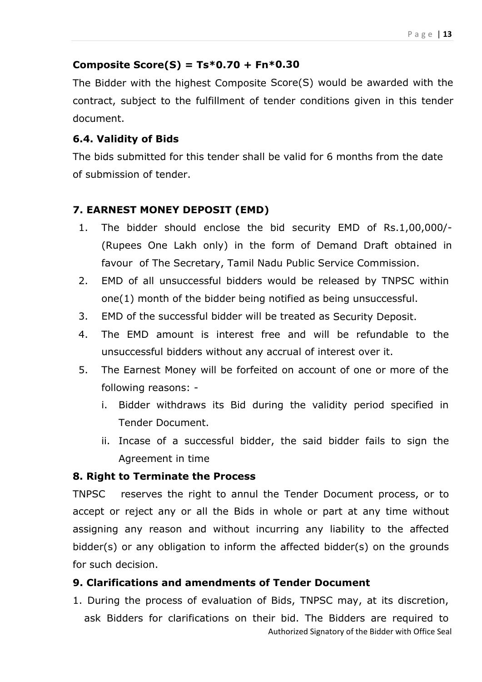#### **Composite Score(S) = Ts\*0.70 + Fn\*0.30**

The Bidder with the highest Composite Score(S) would be awarded with the contract, subject to the fulfillment of tender conditions given in this tender document.

#### **6.4. Validity of Bids**

The bids submitted for this tender shall be valid for 6 months from the date of submission of tender.

## **7. EARNEST MONEY DEPOSIT (EMD)**

- 1. The bidder should enclose the bid security EMD of Rs.1,00,000/- (Rupees One Lakh only) in the form of Demand Draft obtained in favour of The Secretary, Tamil Nadu Public Service Commission.
- 2. EMD of all unsuccessful bidders would be released by TNPSC within one(1) month of the bidder being notified as being unsuccessful.
- 3. EMD of the successful bidder will be treated as Security Deposit.
- 4. The EMD amount is interest free and will be refundable to the unsuccessful bidders without any accrual of interest over it.
- 5. The Earnest Money will be forfeited on account of one or more of the following reasons:
	- i. Bidder withdraws its Bid during the validity period specified in Tender Document.
	- ii. Incase of a successful bidder, the said bidder fails to sign the Agreement in time

#### **8. Right to Terminate the Process**

TNPSC reserves the right to annul the Tender Document process, or to accept or reject any or all the Bids in whole or part at any time without assigning any reason and without incurring any liability to the affected bidder(s) or any obligation to inform the affected bidder(s) on the grounds for such decision.

### **9. Clarifications and amendments of Tender Document**

Authorized Signatory of the Bidder with Office Seal 1. During the process of evaluation of Bids, TNPSC may, at its discretion, ask Bidders for clarifications on their bid. The Bidders are required to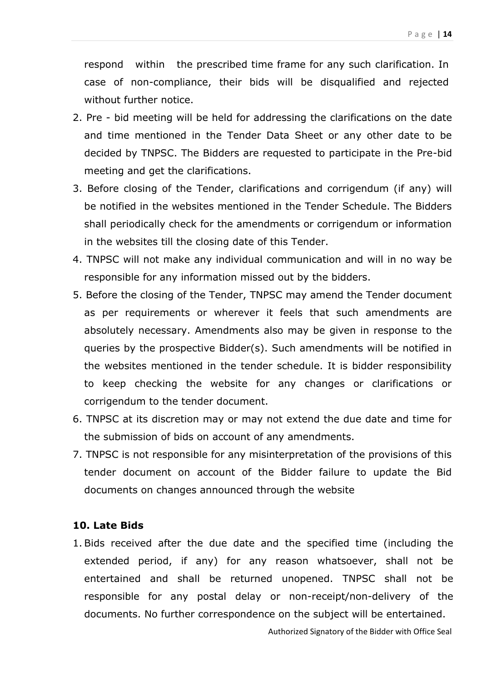respond within the prescribed time frame for any such clarification. In case of non-compliance, their bids will be disqualified and rejected without further notice.

- 2. Pre bid meeting will be held for addressing the clarifications on the date and time mentioned in the Tender Data Sheet or any other date to be decided by TNPSC. The Bidders are requested to participate in the Pre-bid meeting and get the clarifications.
- 3. Before closing of the Tender, clarifications and corrigendum (if any) will be notified in the websites mentioned in the Tender Schedule. The Bidders shall periodically check for the amendments or corrigendum or information in the websites till the closing date of this Tender.
- 4. TNPSC will not make any individual communication and will in no way be responsible for any information missed out by the bidders.
- 5. Before the closing of the Tender, TNPSC may amend the Tender document as per requirements or wherever it feels that such amendments are absolutely necessary. Amendments also may be given in response to the queries by the prospective Bidder(s). Such amendments will be notified in the websites mentioned in the tender schedule. It is bidder responsibility to keep checking the website for any changes or clarifications or corrigendum to the tender document.
- 6. TNPSC at its discretion may or may not extend the due date and time for the submission of bids on account of any amendments.
- 7. TNPSC is not responsible for any misinterpretation of the provisions of this tender document on account of the Bidder failure to update the Bid documents on changes announced through the website

#### **10. Late Bids**

1. Bids received after the due date and the specified time (including the extended period, if any) for any reason whatsoever, shall not be entertained and shall be returned unopened. TNPSC shall not be responsible for any postal delay or non-receipt/non-delivery of the documents. No further correspondence on the subject will be entertained.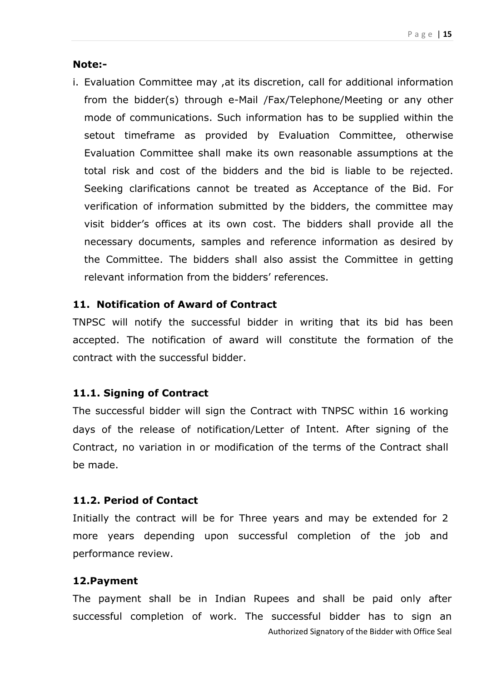#### **Note:-**

i. Evaluation Committee may ,at its discretion, call for additional information from the bidder(s) through e-Mail /Fax/Telephone/Meeting or any other mode of communications. Such information has to be supplied within the setout timeframe as provided by Evaluation Committee, otherwise Evaluation Committee shall make its own reasonable assumptions at the total risk and cost of the bidders and the bid is liable to be rejected. Seeking clarifications cannot be treated as Acceptance of the Bid. For verification of information submitted by the bidders, the committee may visit bidder's offices at its own cost. The bidders shall provide all the necessary documents, samples and reference information as desired by the Committee. The bidders shall also assist the Committee in getting relevant information from the bidders' references.

#### **11. Notification of Award of Contract**

TNPSC will notify the successful bidder in writing that its bid has been accepted. The notification of award will constitute the formation of the contract with the successful bidder.

#### **11.1. Signing of Contract**

The successful bidder will sign the Contract with TNPSC within 16 working days of the release of notification/Letter of Intent. After signing of the Contract, no variation in or modification of the terms of the Contract shall be made.

#### **11.2. Period of Contact**

Initially the contract will be for Three years and may be extended for 2 more years depending upon successful completion of the job and performance review.

#### **12.Payment**

Authorized Signatory of the Bidder with Office Seal The payment shall be in Indian Rupees and shall be paid only after successful completion of work. The successful bidder has to sign an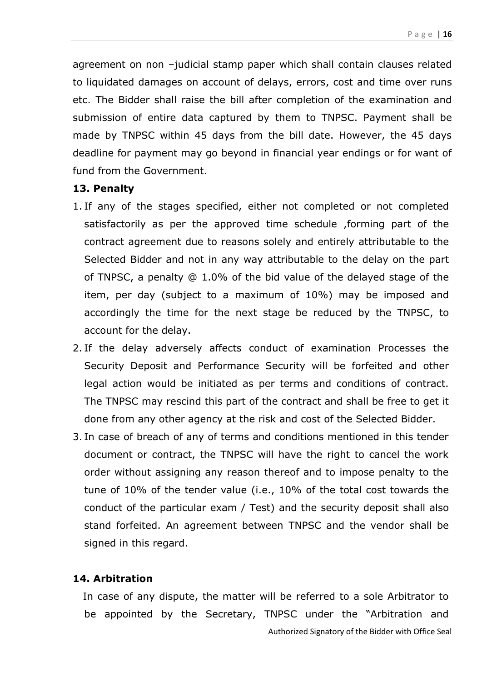agreement on non –judicial stamp paper which shall contain clauses related to liquidated damages on account of delays, errors, cost and time over runs etc. The Bidder shall raise the bill after completion of the examination and submission of entire data captured by them to TNPSC. Payment shall be made by TNPSC within 45 days from the bill date. However, the 45 days deadline for payment may go beyond in financial year endings or for want of fund from the Government.

#### **13. Penalty**

- 1. If any of the stages specified, either not completed or not completed satisfactorily as per the approved time schedule ,forming part of the contract agreement due to reasons solely and entirely attributable to the Selected Bidder and not in any way attributable to the delay on the part of TNPSC, a penalty @ 1.0% of the bid value of the delayed stage of the item, per day (subject to a maximum of 10%) may be imposed and accordingly the time for the next stage be reduced by the TNPSC, to account for the delay.
- 2. If the delay adversely affects conduct of examination Processes the Security Deposit and Performance Security will be forfeited and other legal action would be initiated as per terms and conditions of contract. The TNPSC may rescind this part of the contract and shall be free to get it done from any other agency at the risk and cost of the Selected Bidder.
- 3. In case of breach of any of terms and conditions mentioned in this tender document or contract, the TNPSC will have the right to cancel the work order without assigning any reason thereof and to impose penalty to the tune of 10% of the tender value (i.e., 10% of the total cost towards the conduct of the particular exam / Test) and the security deposit shall also stand forfeited. An agreement between TNPSC and the vendor shall be signed in this regard.

#### **14. Arbitration**

 In case of any dispute, the matter will be referred to a sole Arbitrator to be appointed by the Secretary, TNPSC under the "Arbitration and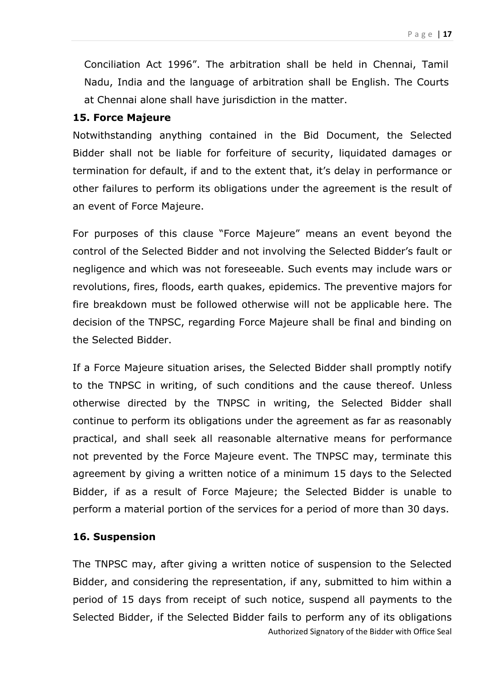Conciliation Act 1996". The arbitration shall be held in Chennai, Tamil Nadu, India and the language of arbitration shall be English. The Courts at Chennai alone shall have jurisdiction in the matter.

#### **15. Force Majeure**

Notwithstanding anything contained in the Bid Document, the Selected Bidder shall not be liable for forfeiture of security, liquidated damages or termination for default, if and to the extent that, it's delay in performance or other failures to perform its obligations under the agreement is the result of an event of Force Majeure.

For purposes of this clause "Force Majeure" means an event beyond the control of the Selected Bidder and not involving the Selected Bidder's fault or negligence and which was not foreseeable. Such events may include wars or revolutions, fires, floods, earth quakes, epidemics. The preventive majors for fire breakdown must be followed otherwise will not be applicable here. The decision of the TNPSC, regarding Force Majeure shall be final and binding on the Selected Bidder.

If a Force Majeure situation arises, the Selected Bidder shall promptly notify to the TNPSC in writing, of such conditions and the cause thereof. Unless otherwise directed by the TNPSC in writing, the Selected Bidder shall continue to perform its obligations under the agreement as far as reasonably practical, and shall seek all reasonable alternative means for performance not prevented by the Force Majeure event. The TNPSC may, terminate this agreement by giving a written notice of a minimum 15 days to the Selected Bidder, if as a result of Force Majeure; the Selected Bidder is unable to perform a material portion of the services for a period of more than 30 days.

#### **16. Suspension**

Authorized Signatory of the Bidder with Office Seal The TNPSC may, after giving a written notice of suspension to the Selected Bidder, and considering the representation, if any, submitted to him within a period of 15 days from receipt of such notice, suspend all payments to the Selected Bidder, if the Selected Bidder fails to perform any of its obligations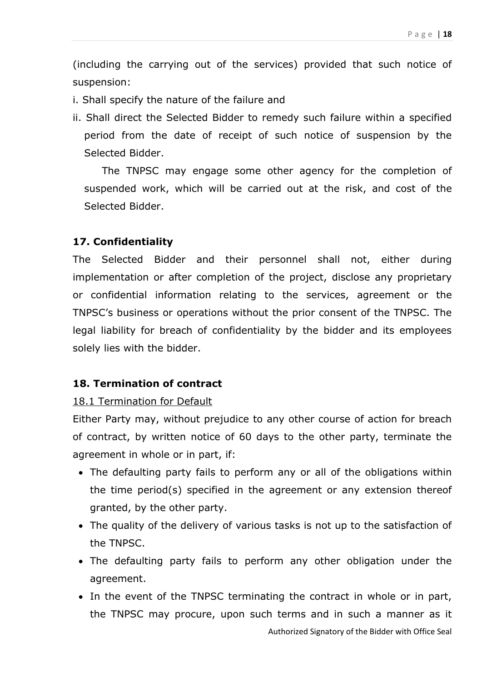(including the carrying out of the services) provided that such notice of suspension:

- i. Shall specify the nature of the failure and
- ii. Shall direct the Selected Bidder to remedy such failure within a specified period from the date of receipt of such notice of suspension by the Selected Bidder.

The TNPSC may engage some other agency for the completion of suspended work, which will be carried out at the risk, and cost of the Selected Bidder.

#### **17. Confidentiality**

The Selected Bidder and their personnel shall not, either during implementation or after completion of the project, disclose any proprietary or confidential information relating to the services, agreement or the TNPSC's business or operations without the prior consent of the TNPSC. The legal liability for breach of confidentiality by the bidder and its employees solely lies with the bidder.

#### **18. Termination of contract**

#### 18.1 Termination for Default

Either Party may, without prejudice to any other course of action for breach of contract, by written notice of 60 days to the other party, terminate the agreement in whole or in part, if:

- The defaulting party fails to perform any or all of the obligations within the time period(s) specified in the agreement or any extension thereof granted, by the other party.
- The quality of the delivery of various tasks is not up to the satisfaction of the TNPSC.
- The defaulting party fails to perform any other obligation under the agreement.
- In the event of the TNPSC terminating the contract in whole or in part, the TNPSC may procure, upon such terms and in such a manner as it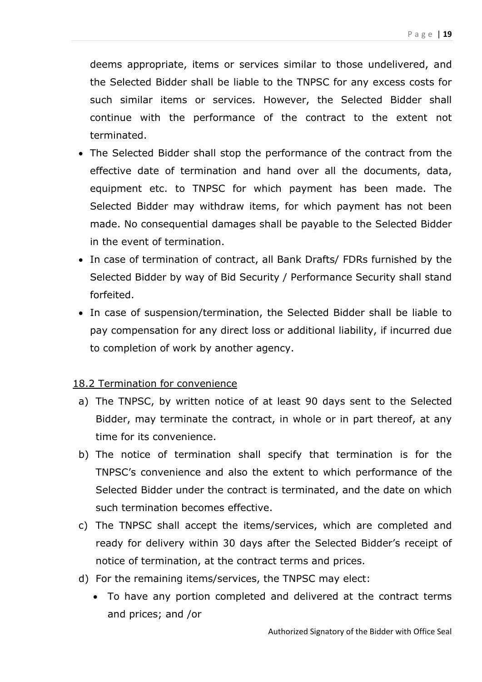deems appropriate, items or services similar to those undelivered, and the Selected Bidder shall be liable to the TNPSC for any excess costs for such similar items or services. However, the Selected Bidder shall continue with the performance of the contract to the extent not terminated.

- The Selected Bidder shall stop the performance of the contract from the effective date of termination and hand over all the documents, data, equipment etc. to TNPSC for which payment has been made. The Selected Bidder may withdraw items, for which payment has not been made. No consequential damages shall be payable to the Selected Bidder in the event of termination.
- In case of termination of contract, all Bank Drafts/ FDRs furnished by the Selected Bidder by way of Bid Security / Performance Security shall stand forfeited.
- In case of suspension/termination, the Selected Bidder shall be liable to pay compensation for any direct loss or additional liability, if incurred due to completion of work by another agency.

#### 18.2 Termination for convenience

- a) The TNPSC, by written notice of at least 90 days sent to the Selected Bidder, may terminate the contract, in whole or in part thereof, at any time for its convenience.
- b) The notice of termination shall specify that termination is for the TNPSC's convenience and also the extent to which performance of the Selected Bidder under the contract is terminated, and the date on which such termination becomes effective.
- c) The TNPSC shall accept the items/services, which are completed and ready for delivery within 30 days after the Selected Bidder's receipt of notice of termination, at the contract terms and prices.
- d) For the remaining items/services, the TNPSC may elect:
	- To have any portion completed and delivered at the contract terms and prices; and /or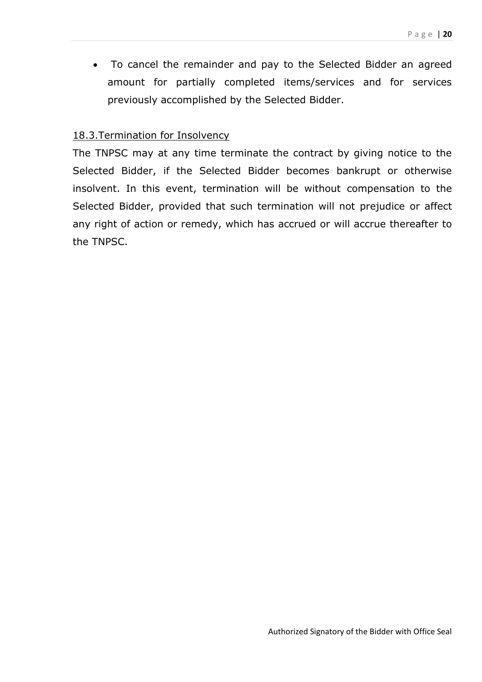To cancel the remainder and pay to the Selected Bidder an agreed amount for partially completed items/services and for services previously accomplished by the Selected Bidder.

#### 18.3.Termination for Insolvency

The TNPSC may at any time terminate the contract by giving notice to the Selected Bidder, if the Selected Bidder becomes bankrupt or otherwise insolvent. In this event, termination will be without compensation to the Selected Bidder, provided that such termination will not prejudice or affect any right of action or remedy, which has accrued or will accrue thereafter to the TNPSC.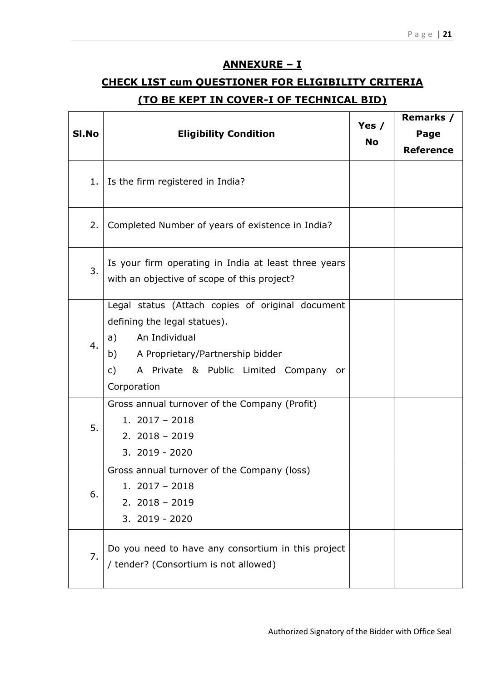#### **ANNEXURE – I**

## **CHECK LIST cum QUESTIONER FOR ELIGIBILITY CRITERIA (TO BE KEPT IN COVER-I OF TECHNICAL BID)**

| SI.No | <b>Eligibility Condition</b>                                                                                                                                                                                              | Yes $/$<br><b>No</b> | Remarks /<br>Page<br><b>Reference</b> |
|-------|---------------------------------------------------------------------------------------------------------------------------------------------------------------------------------------------------------------------------|----------------------|---------------------------------------|
| 1.    | Is the firm registered in India?                                                                                                                                                                                          |                      |                                       |
| 2.    | Completed Number of years of existence in India?                                                                                                                                                                          |                      |                                       |
| 3.    | Is your firm operating in India at least three years<br>with an objective of scope of this project?                                                                                                                       |                      |                                       |
| 4.    | Legal status (Attach copies of original document<br>defining the legal statues).<br>An Individual<br>a)<br>A Proprietary/Partnership bidder<br>b)<br>A Private & Public Limited Company or<br>$\mathsf{C}$<br>Corporation |                      |                                       |
| 5.    | Gross annual turnover of the Company (Profit)<br>1. $2017 - 2018$<br>$2.2018 - 2019$<br>3. 2019 - 2020                                                                                                                    |                      |                                       |
| 6.    | Gross annual turnover of the Company (loss)<br>$1.2017 - 2018$<br>$2.2018 - 2019$<br>3. 2019 - 2020                                                                                                                       |                      |                                       |
| 7.    | Do you need to have any consortium in this project<br>/ tender? (Consortium is not allowed)                                                                                                                               |                      |                                       |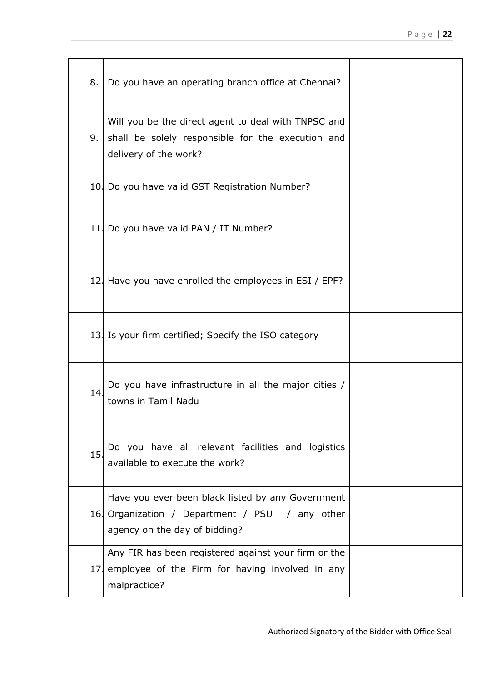| 8.  | Do you have an operating branch office at Chennai?                                                                                   |  |
|-----|--------------------------------------------------------------------------------------------------------------------------------------|--|
| 9.1 | Will you be the direct agent to deal with TNPSC and<br>shall be solely responsible for the execution and<br>delivery of the work?    |  |
|     | 10. Do you have valid GST Registration Number?                                                                                       |  |
|     | 11. Do you have valid PAN / IT Number?                                                                                               |  |
|     | 12. Have you have enrolled the employees in ESI / EPF?                                                                               |  |
|     | 13. Is your firm certified; Specify the ISO category                                                                                 |  |
| 14. | Do you have infrastructure in all the major cities /<br>towns in Tamil Nadu                                                          |  |
| 15. | Do you have all relevant facilities and logistics<br>available to execute the work?                                                  |  |
|     | Have you ever been black listed by any Government<br>16 Organization / Department / PSU / any other<br>agency on the day of bidding? |  |
|     | Any FIR has been registered against your firm or the<br>17 employee of the Firm for having involved in any<br>malpractice?           |  |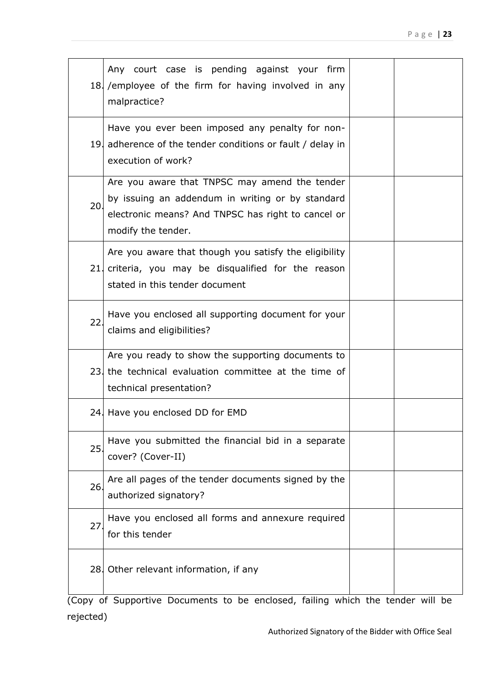|     | Any court case is pending against your firm<br>18. /employee of the firm for having involved in any<br>malpractice?                                                           |  |  |  |  |  |
|-----|-------------------------------------------------------------------------------------------------------------------------------------------------------------------------------|--|--|--|--|--|
|     | Have you ever been imposed any penalty for non-<br>19. adherence of the tender conditions or fault / delay in<br>execution of work?                                           |  |  |  |  |  |
| 20. | Are you aware that TNPSC may amend the tender<br>by issuing an addendum in writing or by standard<br>electronic means? And TNPSC has right to cancel or<br>modify the tender. |  |  |  |  |  |
|     | Are you aware that though you satisfy the eligibility<br>21 criteria, you may be disqualified for the reason<br>stated in this tender document                                |  |  |  |  |  |
| 22  | Have you enclosed all supporting document for your<br>claims and eligibilities?                                                                                               |  |  |  |  |  |
|     | Are you ready to show the supporting documents to<br>23 the technical evaluation committee at the time of<br>technical presentation?                                          |  |  |  |  |  |
|     | 24. Have you enclosed DD for EMD                                                                                                                                              |  |  |  |  |  |
| 25. | Have you submitted the financial bid in a separate<br>cover? (Cover-II)                                                                                                       |  |  |  |  |  |
| 26  | Are all pages of the tender documents signed by the<br>authorized signatory?                                                                                                  |  |  |  |  |  |
| 27  | Have you enclosed all forms and annexure required<br>for this tender                                                                                                          |  |  |  |  |  |
|     | 28. Other relevant information, if any                                                                                                                                        |  |  |  |  |  |
|     |                                                                                                                                                                               |  |  |  |  |  |

(Copy of Supportive Documents to be enclosed, failing which the tender will be rejected)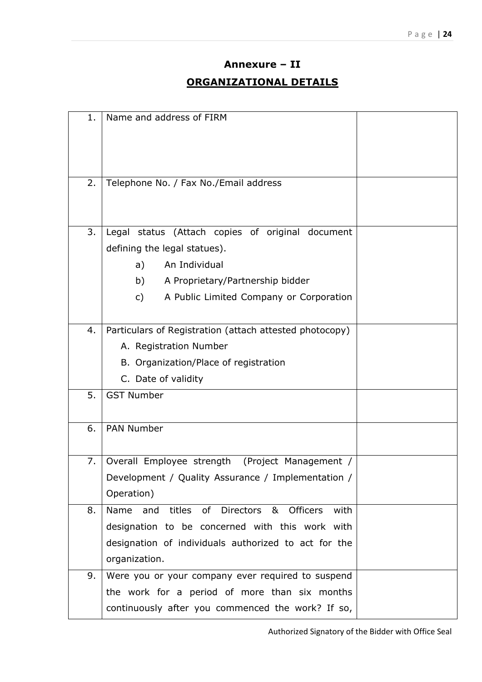## **Annexure – II ORGANIZATIONAL DETAILS**

| 1. | Name and address of FIRM                                                 |  |
|----|--------------------------------------------------------------------------|--|
|    |                                                                          |  |
|    |                                                                          |  |
|    |                                                                          |  |
| 2. | Telephone No. / Fax No./Email address                                    |  |
|    |                                                                          |  |
| 3. | Legal status (Attach copies of original document                         |  |
|    | defining the legal statues).                                             |  |
|    | An Individual<br>a)                                                      |  |
|    | b)<br>A Proprietary/Partnership bidder                                   |  |
|    | c)<br>A Public Limited Company or Corporation                            |  |
|    |                                                                          |  |
| 4. | Particulars of Registration (attach attested photocopy)                  |  |
|    | A. Registration Number                                                   |  |
|    | B. Organization/Place of registration                                    |  |
|    | C. Date of validity                                                      |  |
| 5. | <b>GST Number</b>                                                        |  |
|    |                                                                          |  |
| 6. | <b>PAN Number</b>                                                        |  |
|    |                                                                          |  |
| 7. | Overall Employee strength<br>(Project Management /                       |  |
|    | Development / Quality Assurance / Implementation /                       |  |
|    | Operation)                                                               |  |
| 8. | <b>Officers</b><br>titles<br>of<br>Directors<br>&<br>Name<br>with<br>and |  |
|    | designation to be concerned with this work with                          |  |
|    | designation of individuals authorized to act for the                     |  |
|    | organization.                                                            |  |
| 9. | Were you or your company ever required to suspend                        |  |
|    | the work for a period of more than six months                            |  |
|    | continuously after you commenced the work? If so,                        |  |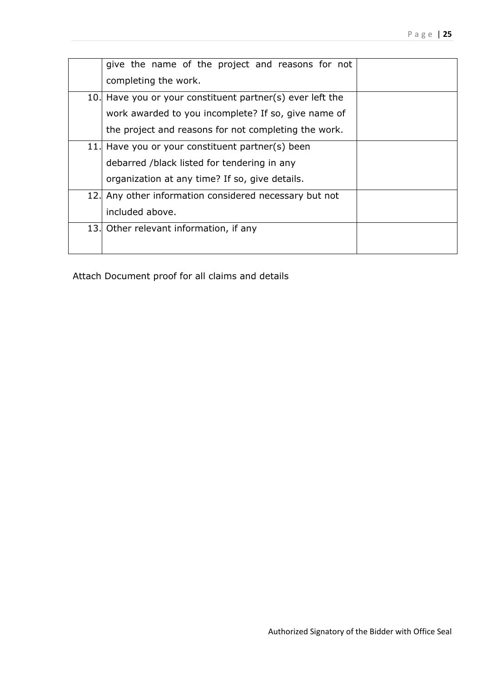| give the name of the project and reasons for not          |  |
|-----------------------------------------------------------|--|
| completing the work.                                      |  |
| 10. Have you or your constituent partner(s) ever left the |  |
| work awarded to you incomplete? If so, give name of       |  |
| the project and reasons for not completing the work.      |  |
| 11. Have you or your constituent partner(s) been          |  |
| debarred /black listed for tendering in any               |  |
| organization at any time? If so, give details.            |  |
| 12. Any other information considered necessary but not    |  |
| included above.                                           |  |
| 13. Other relevant information, if any                    |  |
|                                                           |  |

Attach Document proof for all claims and details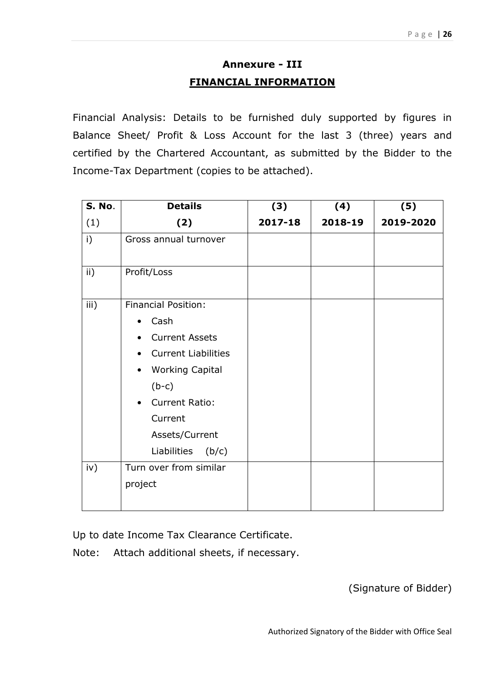## **Annexure - III FINANCIAL INFORMATION**

Financial Analysis: Details to be furnished duly supported by figures in Balance Sheet/ Profit & Loss Account for the last 3 (three) years and certified by the Chartered Accountant, as submitted by the Bidder to the Income-Tax Department (copies to be attached).

| <b>S. No.</b>   | <b>Details</b>                      | (3)     | (4)     | (5)       |
|-----------------|-------------------------------------|---------|---------|-----------|
| (1)             | (2)                                 | 2017-18 | 2018-19 | 2019-2020 |
| i)              | Gross annual turnover               |         |         |           |
| $\mathsf{ii}$ ) | Profit/Loss                         |         |         |           |
| iii)            | <b>Financial Position:</b>          |         |         |           |
|                 | Cash                                |         |         |           |
|                 | <b>Current Assets</b>               |         |         |           |
|                 | <b>Current Liabilities</b>          |         |         |           |
|                 | <b>Working Capital</b><br>$\bullet$ |         |         |           |
|                 | $(b-c)$                             |         |         |           |
|                 | <b>Current Ratio:</b>               |         |         |           |
|                 | Current                             |         |         |           |
|                 | Assets/Current                      |         |         |           |
|                 | Liabilities (b/c)                   |         |         |           |
| iv)             | Turn over from similar              |         |         |           |
|                 | project                             |         |         |           |
|                 |                                     |         |         |           |

Up to date Income Tax Clearance Certificate.

Note: Attach additional sheets, if necessary.

(Signature of Bidder)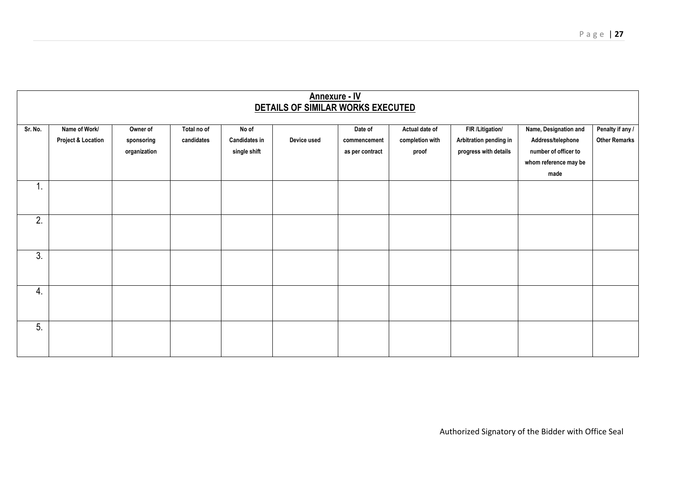| <b>Annexure - IV</b><br>DETAILS OF SIMILAR WORKS EXECUTED |                                                |                                        |                           |                                               |             |                                            |                                            |                                                                     |                                                                                                     |                                          |
|-----------------------------------------------------------|------------------------------------------------|----------------------------------------|---------------------------|-----------------------------------------------|-------------|--------------------------------------------|--------------------------------------------|---------------------------------------------------------------------|-----------------------------------------------------------------------------------------------------|------------------------------------------|
| Sr. No.                                                   | Name of Work/<br><b>Project &amp; Location</b> | Owner of<br>sponsoring<br>organization | Total no of<br>candidates | No of<br><b>Candidates in</b><br>single shift | Device used | Date of<br>commencement<br>as per contract | Actual date of<br>completion with<br>proof | FIR /Litigation/<br>Arbitration pending in<br>progress with details | Name, Designation and<br>Address/telephone<br>number of officer to<br>whom reference may be<br>made | Penalty if any /<br><b>Other Remarks</b> |
| 1.                                                        |                                                |                                        |                           |                                               |             |                                            |                                            |                                                                     |                                                                                                     |                                          |
| 2.                                                        |                                                |                                        |                           |                                               |             |                                            |                                            |                                                                     |                                                                                                     |                                          |
| 3.                                                        |                                                |                                        |                           |                                               |             |                                            |                                            |                                                                     |                                                                                                     |                                          |
| 4.                                                        |                                                |                                        |                           |                                               |             |                                            |                                            |                                                                     |                                                                                                     |                                          |
| 5.                                                        |                                                |                                        |                           |                                               |             |                                            |                                            |                                                                     |                                                                                                     |                                          |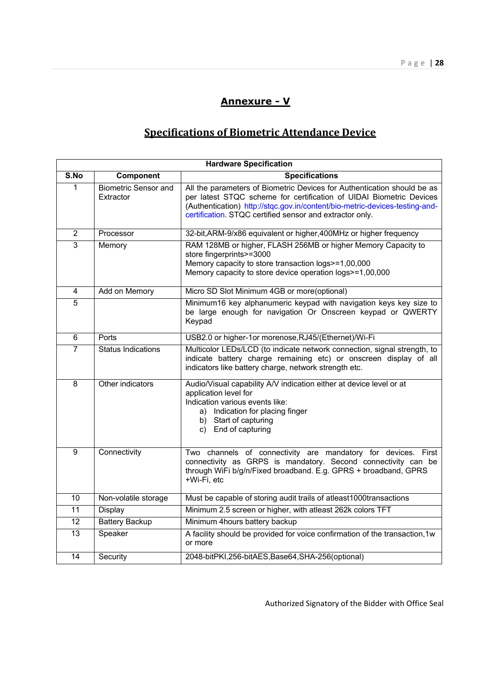#### **Annexure - V**

## **Specifications of Biometric Attendance Device**

|                 | <b>Hardware Specification</b>            |                                                                                                                                                                                                                                                                                           |  |  |  |
|-----------------|------------------------------------------|-------------------------------------------------------------------------------------------------------------------------------------------------------------------------------------------------------------------------------------------------------------------------------------------|--|--|--|
| S.No            | Component                                | <b>Specifications</b>                                                                                                                                                                                                                                                                     |  |  |  |
| 1               | <b>Biometric Sensor and</b><br>Extractor | All the parameters of Biometric Devices for Authentication should be as<br>per latest STQC scheme for certification of UIDAI Biometric Devices<br>(Authentication) http://stqc.gov.in/content/bio-metric-devices-testing-and-<br>certification. STQC certified sensor and extractor only. |  |  |  |
| $\overline{2}$  | Processor                                | 32-bit, ARM-9/x86 equivalent or higher, 400MHz or higher frequency                                                                                                                                                                                                                        |  |  |  |
| $\overline{3}$  | Memory                                   | RAM 128MB or higher, FLASH 256MB or higher Memory Capacity to<br>store fingerprints>=3000<br>Memory capacity to store transaction logs>=1,00,000<br>Memory capacity to store device operation logs>=1,00,000                                                                              |  |  |  |
| 4               | Add on Memory                            | Micro SD Slot Minimum 4GB or more(optional)                                                                                                                                                                                                                                               |  |  |  |
| $\overline{5}$  |                                          | Minimum16 key alphanumeric keypad with navigation keys key size to<br>be large enough for navigation Or Onscreen keypad or QWERTY<br>Keypad                                                                                                                                               |  |  |  |
| 6               | Ports                                    | USB2.0 or higher-1or morenose, RJ45/(Ethernet)/Wi-Fi                                                                                                                                                                                                                                      |  |  |  |
| $\overline{7}$  | <b>Status Indications</b>                | Multicolor LEDs/LCD (to indicate network connection, signal strength, to<br>indicate battery charge remaining etc) or onscreen display of all<br>indicators like battery charge, network strength etc.                                                                                    |  |  |  |
| $\overline{8}$  | Other indicators                         | Audio/Visual capability A/V indication either at device level or at<br>application level for<br>Indication various events like:<br>a) Indication for placing finger<br>b) Start of capturing<br>c) End of capturing                                                                       |  |  |  |
| 9               | Connectivity                             | Two channels of connectivity are mandatory for devices. First<br>connectivity as GRPS is mandatory. Second connectivity can be<br>through WiFi b/g/n/Fixed broadband. E.g. GPRS + broadband, GPRS<br>+Wi-Fi, etc                                                                          |  |  |  |
| $\overline{10}$ | Non-volatile storage                     | Must be capable of storing audit trails of atleast1000transactions                                                                                                                                                                                                                        |  |  |  |
| 11              | Display                                  | Minimum 2.5 screen or higher, with atleast 262k colors TFT                                                                                                                                                                                                                                |  |  |  |
| 12              | <b>Battery Backup</b>                    | Minimum 4hours battery backup                                                                                                                                                                                                                                                             |  |  |  |
| 13              | Speaker                                  | A facility should be provided for voice confirmation of the transaction, 1w<br>or more                                                                                                                                                                                                    |  |  |  |
| 14              | Security                                 | 2048-bitPKI,256-bitAES,Base64,SHA-256(optional)                                                                                                                                                                                                                                           |  |  |  |